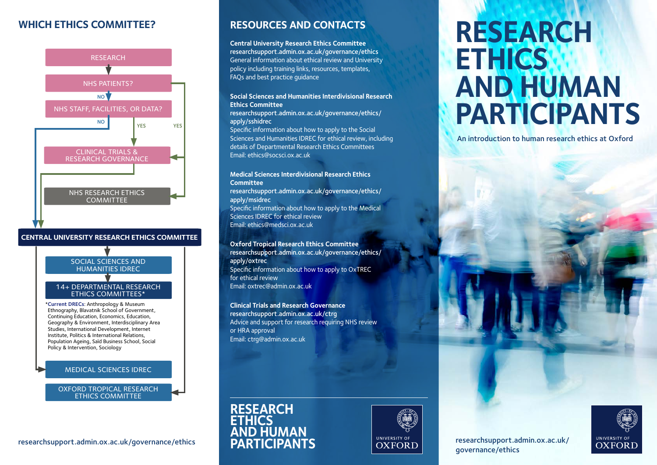## **WHICH ETHICS COMMITTEE?**



### **CENTRAL UNIVERSITY RESEARCH ETHICS COMMITTEE**

SOCIAL SCIENCES AND HUMANITIES IDREC

#### 14+ DEPARTMENTAL RESEARCH ETHICS COMMITTEES\*

\***Current DRECs**: Anthropology & Museum Ethnography, Blavatnik School of Government, Continuing Education, Economics, Education, Geography & Environment, Interdisciplinary Area Studies, International Development, Internet Institute, Politics & International Relations, Population Ageing, Saïd Business School, Social Policy & Intervention, Sociology

### MEDICAL SCIENCES IDREC

OXFORD TROPICAL RESEARCH ETHICS COMMITTEE

### **RESOURCES AND CONTACTS**

**Central University Research Ethics Committee** [researchsupport.admin.ox.ac.uk/governance/ethics](http://researchsupport.admin.ox.ac.uk/governance/ethics) General information about ethical review and University policy including training links, resources, templates, FAQs and best practice guidance

### **Social Sciences and Humanities Interdivisional Research Ethics Committee**

[researchsupport.admin.ox.ac.uk/governance/ethics/](http://researchsupport.admin.ox.ac.uk/governance/ethics/apply/sshidrec) [apply/sshidrec](http://researchsupport.admin.ox.ac.uk/governance/ethics/apply/sshidrec)

Specific information about how to apply to the Social Sciences and Humanities IDREC for ethical review, including details of Departmental Research Ethics Committees Email: [ethics@socsci.ox.ac.uk](mailto:ethics%40socsci.ox.ac.uk?subject=) 

### **Medical Sciences Interdivisional Research Ethics Committee**

[researchsupport.admin.ox.ac.uk/governance/ethics/](http://researchsupport.admin.ox.ac.uk/governance/ethics/apply/msidrec) [apply/msidrec](http://researchsupport.admin.ox.ac.uk/governance/ethics/apply/msidrec) Specific information about how to apply to the Medical Sciences IDREC for ethical review Email: [ethics@medsci.ox.ac.uk](mailto:ethics%40medsci.ox.ac.uk?subject=)

**Oxford Tropical Research Ethics Committee** [researchsupport.admin.ox.ac.uk/governance/ethics/](http://researchsupport.admin.ox.ac.uk/governance/ethics/apply/oxtrec) [apply/oxtrec](http://researchsupport.admin.ox.ac.uk/governance/ethics/apply/oxtrec) Specific information about how to apply to OxTREC for ethical review Email: [oxtrec@admin.ox.ac.uk](mailto:oxtrec%40admin.ox.ac.uk?subject=)

**Clinical Trials and Research Governance** [researchsupport.admin.ox.ac.uk/ctrg](http://researchsupport.admin.ox.ac.uk/ctrg) Advice and support for research requiring NHS review or HRA approval Email: [ctrg@admin.ox.ac.uk](mailto:ctrg%40admin.ox.ac.uk?subject=)





# **RESEARCH ETHICS AND HUMAN PARTICIPANTS**

An introduction to human research ethics at Oxford





[researchsupport.admin.ox.ac.uk/governance/ethics](http://researchsupport.admin.ox.ac.uk/governance/ethics) **PARTICIPANTS [researchsupport.admin.ox.ac.uk/](http://researchsupport.admin.ox.ac.uk/governance/ethics)**